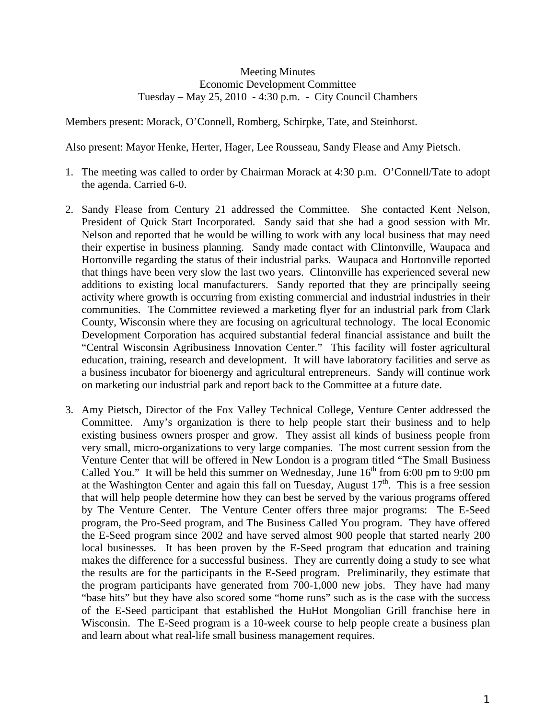## Meeting Minutes Economic Development Committee Tuesday – May 25, 2010 - 4:30 p.m. - City Council Chambers

Members present: Morack, O'Connell, Romberg, Schirpke, Tate, and Steinhorst.

Also present: Mayor Henke, Herter, Hager, Lee Rousseau, Sandy Flease and Amy Pietsch.

- 1. The meeting was called to order by Chairman Morack at 4:30 p.m. O'Connell/Tate to adopt the agenda. Carried 6-0.
- 2. Sandy Flease from Century 21 addressed the Committee. She contacted Kent Nelson, President of Quick Start Incorporated. Sandy said that she had a good session with Mr. Nelson and reported that he would be willing to work with any local business that may need their expertise in business planning. Sandy made contact with Clintonville, Waupaca and Hortonville regarding the status of their industrial parks. Waupaca and Hortonville reported that things have been very slow the last two years. Clintonville has experienced several new additions to existing local manufacturers. Sandy reported that they are principally seeing activity where growth is occurring from existing commercial and industrial industries in their communities. The Committee reviewed a marketing flyer for an industrial park from Clark County, Wisconsin where they are focusing on agricultural technology. The local Economic Development Corporation has acquired substantial federal financial assistance and built the "Central Wisconsin Agribusiness Innovation Center." This facility will foster agricultural education, training, research and development. It will have laboratory facilities and serve as a business incubator for bioenergy and agricultural entrepreneurs. Sandy will continue work on marketing our industrial park and report back to the Committee at a future date.
- 3. Amy Pietsch, Director of the Fox Valley Technical College, Venture Center addressed the Committee. Amy's organization is there to help people start their business and to help existing business owners prosper and grow. They assist all kinds of business people from very small, micro-organizations to very large companies. The most current session from the Venture Center that will be offered in New London is a program titled "The Small Business Called You." It will be held this summer on Wednesday, June  $16<sup>th</sup>$  from 6:00 pm to 9:00 pm at the Washington Center and again this fall on Tuesday, August  $17<sup>th</sup>$ . This is a free session that will help people determine how they can best be served by the various programs offered by The Venture Center. The Venture Center offers three major programs: The E-Seed program, the Pro-Seed program, and The Business Called You program. They have offered the E-Seed program since 2002 and have served almost 900 people that started nearly 200 local businesses. It has been proven by the E-Seed program that education and training makes the difference for a successful business. They are currently doing a study to see what the results are for the participants in the E-Seed program. Preliminarily, they estimate that the program participants have generated from 700-1,000 new jobs. They have had many "base hits" but they have also scored some "home runs" such as is the case with the success of the E-Seed participant that established the HuHot Mongolian Grill franchise here in Wisconsin. The E-Seed program is a 10-week course to help people create a business plan and learn about what real-life small business management requires.